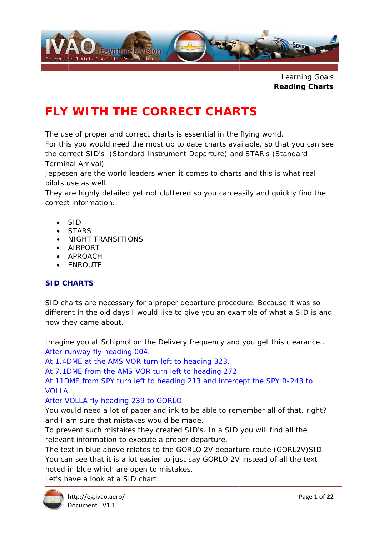

Learning Goals **Reading Charts** 

# **FLY WITH THE CORRECT CHARTS**

The use of proper and correct charts is essential in the flying world.

For this you would need the most up to date charts available, so that you can see the correct SID's (Standard Instrument Departure) and STAR's (Standard Terminal Arrival).

Jeppesen are the world leaders when it comes to charts and this is what real pilots use as well.

They are highly detailed yet not cluttered so you can easily and quickly find the correct information.

- $\bullet$  SID
- **STARS**
- · NIGHT TRANSITIONS
- AIRPORT
- **APROACH**
- **ENROUTE**

### **SID CHARTS**

SID charts are necessary for a proper departure procedure. Because it was so different in the old days I would like to give you an example of what a SID is and how they came about.

Imagine you at Schiphol on the Delivery frequency and you get this clearance.. After runway fly heading 004.

At 1.4DME at the AMS VOR turn left to heading 323.

At 7.1DME from the AMS VOR turn left to heading 272.

At 11DME from SPY turn left to heading 213 and intercept the SPY R-243 to  $VOLIA$ 

After VOLLA fly heading 239 to GORLO.

You would need a lot of paper and ink to be able to remember all of that, right? and I am sure that mistakes would be made.

To prevent such mistakes they created SID's. In a SID you will find all the relevant information to execute a proper departure.

The text in blue above relates to the GORLO 2V departure route (GORL2V)SID. You can see that it is a lot easier to just say GORLO 2V instead of all the text noted in blue which are open to mistakes.

Let's have a look at a SID chart.

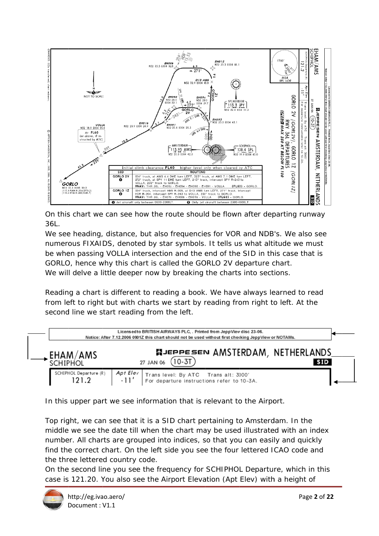

On this chart we can see how the route should be flown after departing runway 36L.

We see heading, distance, but also frequencies for VOR and NDB's. We also see numerous FIXAIDS, denoted by star symbols. It tells us what altitude we must be when passing VOLLA intersection and the end of the SID in this case that is GORLO, hence why this chart is called the GORLO 2V departure chart. We will delve a little deeper now by breaking the charts into sections.

Reading a chart is different to reading a book. We have always learned to read from left to right but with charts we start by reading from right to left. At the second line we start reading from the left.

|                                 | Licensed to BRITISH AIRWAYS PLC, . Printed from JeppView disc 23-06.<br>Notice: After 7.12.2006 0901Z this chart should not be used without first checking JeppView or NOTAMs. |  |
|---------------------------------|--------------------------------------------------------------------------------------------------------------------------------------------------------------------------------|--|
| <b>EHAM/AMS</b><br>schiphol     | <b>NJEPPESEN AMSTERDAM, NETHERLANDS</b><br>$\sqrt{10-3T}$<br>27 JAN 06<br><b>SID</b>                                                                                           |  |
| SCHIPHOL Departure (R)<br>121.2 | AptElev<br>$-11'$                                                                                                                                                              |  |

In this upper part we see information that is relevant to the Airport.

Top right, we can see that it is a SID chart pertaining to Amsterdam. In the middle we see the date till when the chart may be used illustrated with an index number. All charts are grouped into indices, so that you can easily and quickly find the correct chart. On the left side you see the four lettered ICAO code and the three lettered country code.

On the second line you see the frequency for SCHIPHOL Departure, which in this case is 121.20. You also see the Airport Elevation (Apt Elev) with a height of

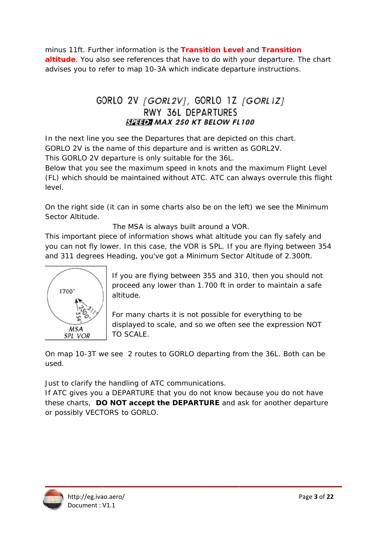minus 11ft. Further information is the Transition Level and Transition altitude. You also see references that have to do with your departure. The chart advises you to refer to map 10-3A which indicate departure instructions.

# GORLO 2V [GORL2V], GORLO 1Z [GORL1Z] RWY 36L DEPARTURES **STIPE MAX 250 KT BELOW FL100**

In the next line you see the Departures that are depicted on this chart. GORLO 2V is the name of this departure and is written as GORL2V.

This GORLO 2V departure is only suitable for the 36L.

Below that you see the maximum speed in knots and the maximum Flight Level (FL) which should be maintained without ATC. ATC can always overrule this flight level

On the right side (it can in some charts also be on the left) we see the Minimum Sector Altitude.

The MSA is always built around a VOR.

This important piece of information shows what altitude you can fly safely and you can not fly lower. In this case, the VOR is SPL. If you are flying between 354 and 311 degrees Heading, you've got a Minimum Sector Altitude of 2.300ft.



If you are flying between 355 and 310, then you should not proceed any lower than 1.700 ft in order to maintain a safe altitude.

For many charts it is not possible for everything to be displayed to scale, and so we often see the expression NOT TO SCALE.

On map 10-3T we see 2 routes to GORLO departing from the 36L. Both can be used.

Just to clarify the handling of ATC communications.

If ATC gives you a DEPARTURE that you do not know because you do not have these charts, DO NOT accept the DEPARTURE and ask for another departure or possibly VECTORS to GORLO.

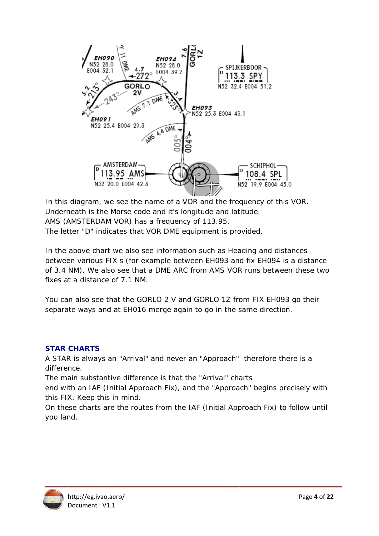

In this diagram, we see the name of a VOR and the frequency of this VOR. Underneath is the Morse code and it's longitude and latitude. AMS (AMSTERDAM VOR) has a frequency of 113.95. The letter "D" indicates that VOR DME equipment is provided.

In the above chart we also see information such as Heading and distances between various FIX s (for example between EH093 and fix EH094 is a distance of 3.4 NM). We also see that a DME ARC from AMS VOR runs between these two fixes at a distance of 7.1 NM.

You can also see that the GORLO 2 V and GORLO 1Z from FIX EH093 go their separate ways and at EH016 merge again to go in the same direction.

#### **STAR CHARTS**

A STAR is always an "Arrival" and never an "Approach" therefore there is a difference.

The main substantive difference is that the "Arrival" charts

end with an IAF (Initial Approach Fix), and the "Approach" begins precisely with this FIX. Keep this in mind.

On these charts are the routes from the IAF (Initial Approach Fix) to follow until you land.

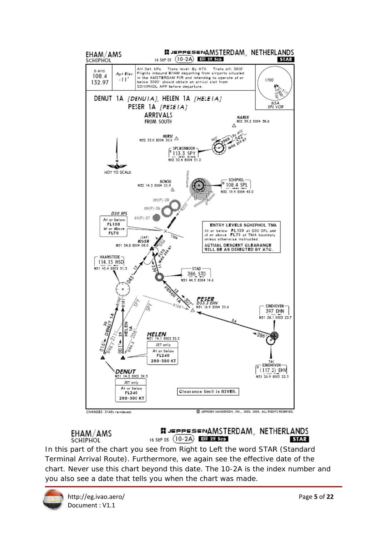

EHAM/AMS **SCHIPHOL** 

**NJEPPESENAMSTERDAM, NETHERLANDS** 16 SEP 05  $(10-2A)$  Eff 29 Sep **STAR** 

In this part of the chart you see from Right to Left the word STAR (Standard Terminal Arrival Route). Furthermore, we again see the effective date of the chart. Never use this chart beyond this date. The 10-2A is the index number and you also see a date that tells you when the chart was made.

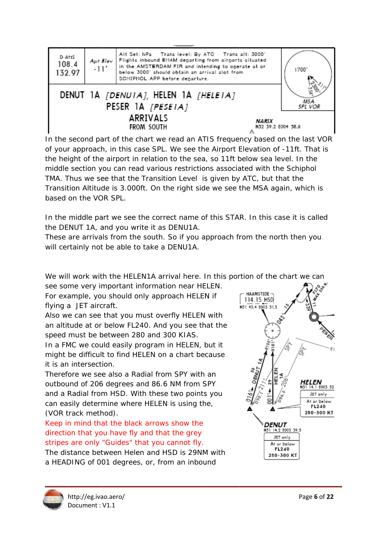

In the second part of the chart we read an ATIS frequency based on the last VOR of your approach, in this case SPL. We see the Airport Elevation of -11ft. That is the height of the airport in relation to the sea, so 11ft below sea level. In the middle section you can read various restrictions associated with the Schiphol TMA. Thus we see that the Transition Level is given by ATC, but that the Transition Altitude is 3.000ft. On the right side we see the MSA again, which is based on the VOR SPL.

In the middle part we see the correct name of this STAR. In this case it is called the DENUT 1A, and you write it as DENU1A.

These are arrivals from the south. So if you approach from the north then you will certainly not be able to take a DENU1A.

We will work with the HELEN1A arrival here. In this portion of the chart we can

see some very important information near HELEN. For example, you should only approach HELEN if

flying a JET aircraft.

Also we can see that you must overfly HELEN with an altitude at or below FL240. And you see that the speed must be between 280 and 300 KIAS.

In a FMC we could easily program in HELEN, but it might be difficult to find HELEN on a chart because it is an intersection.

Therefore we see also a Radial from SPY with an outbound of 206 degrees and 86.6 NM from SPY and a Radial from HSD. With these two points you can easily determine where HELEN is using the, (VOR track method).

Keep in mind that the black arrows show the direction that you have fly and that the grey stripes are only "Guides" that you cannot fly. The distance between Helen and HSD is 29NM with a HEADING of 001 degrees, or, from an inbound



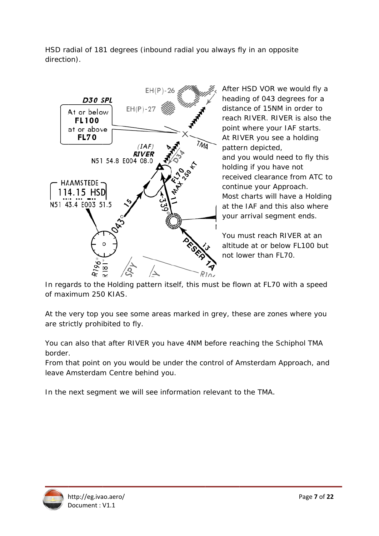HSD radial of 181 degrees (inbound radial you always fly in an opposite direction).



After HSD VOR we would fly a heading of 043 degrees for a distance of 15NM in order to reach RIVER, RIVER is also the point where your IAF starts. At RIVER you see a holding pattern depicted, and you would need to fly this holding if you have not received clearance from ATC to continue your Approach. Most charts will have a Holding at the IAF and this also where your arrival segment ends.

You must reach RIVER at an altitude at or below FL100 but not lower than FL70.

In regards to the Holding pattern itself, this must be flown at FL70 with a speed of maximum 250 KIAS.

At the very top you see some areas marked in grey, these are zones where you are strictly prohibited to fly.

You can also that after RIVER you have 4NM before reaching the Schiphol TMA border.

From that point on you would be under the control of Amsterdam Approach, and leave Amsterdam Centre behind you.

In the next segment we will see information relevant to the TMA.

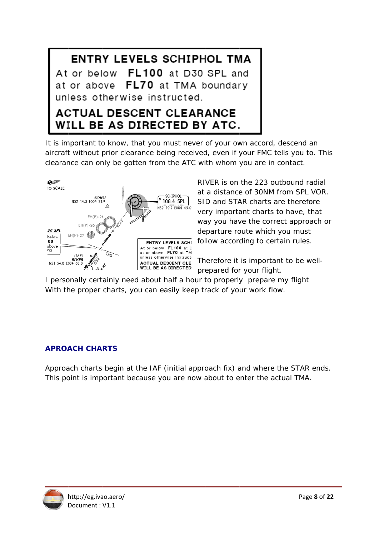**ENTRY LEVELS SCHIPHOL TMA** At or below FL100 at D30 SPL and at or above FL70 at TMA boundary unless otherwise instructed.

# **ACTUAL DESCENT CLEARANCE** WILL BE AS DIRECTED BY ATC.

It is important to know, that you must never of your own accord, descend an aircraft without prior clearance being received, even if your FMC tells you to. This clearance can only be gotten from the ATC with whom you are in contact.



RIVER is on the 223 outbound radial at a distance of 30NM from SPL VOR. SID and STAR charts are therefore very important charts to have, that way you have the correct approach or departure route which you must follow according to certain rules.

Therefore it is important to be wellprepared for your flight.

I personally certainly need about half a hour to properly prepare my flight With the proper charts, you can easily keep track of your work flow.

#### **APROACH CHARTS**

Approach charts begin at the IAF (initial approach fix) and where the STAR ends. This point is important because you are now about to enter the actual TMA.

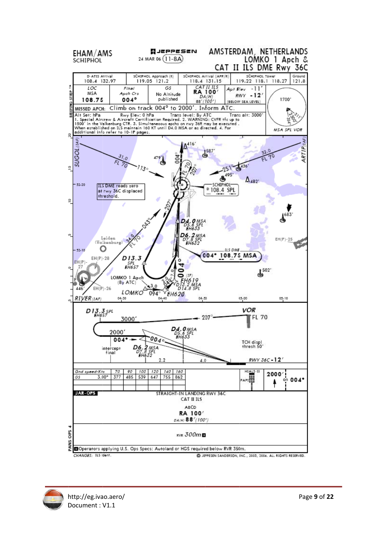

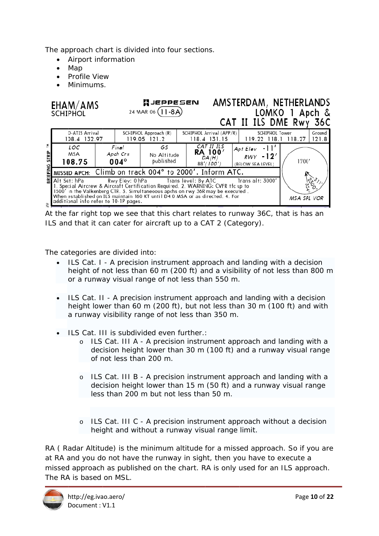The approach chart is divided into four sections.

- Airport information
- $\bullet$  Map
- Profile View
- · Minimums.

|              | EHAM/AMS<br><b>SCHIPHOL</b>                                                                                                                                                                                                                                                                                                                                                                           |  |                                                                    | <b>MJEPPESEN</b><br>24 MAR 06 (11-8A) |  |                                                       |                                                      | AMSTERDAM, NETHERLANDS<br>CAT II ILS DME Rwy 36C         | LOMKO 1 Apch & |  |
|--------------|-------------------------------------------------------------------------------------------------------------------------------------------------------------------------------------------------------------------------------------------------------------------------------------------------------------------------------------------------------------------------------------------------------|--|--------------------------------------------------------------------|---------------------------------------|--|-------------------------------------------------------|------------------------------------------------------|----------------------------------------------------------|----------------|--|
|              | D-ATIS Arrival<br>108.4 132.97                                                                                                                                                                                                                                                                                                                                                                        |  | SCHIPHOL Approach (R)<br>119.05 121.2                              |                                       |  | SCHIPHOL Arrival (APP/R)<br>118.4 131.15              |                                                      | SCHIPHOL Tower<br>Ground<br>119.22 118.1 118.27<br>121.8 |                |  |
| <b>STRIP</b> | LOC<br>MSA<br>108.75                                                                                                                                                                                                                                                                                                                                                                                  |  | Final<br>GS<br>Apch Crs<br>No Altitude<br>published<br>$004^\circ$ |                                       |  | CAT II ILS<br><b>RA 100'</b><br>DA(H)<br>$88'$ (100') | $Apt Elev - 11'$<br>$RWY - 12'$<br>(BELOW SEA LEVEL) |                                                          | 1700'          |  |
|              | MISSED APCH: Climb on track 004° to 2000'. Inform ATC.                                                                                                                                                                                                                                                                                                                                                |  |                                                                    |                                       |  |                                                       |                                                      |                                                          |                |  |
|              | Rwy Elev: 0 hPa                 Trans level: By ATC                 Trans alt: 3000'<br>Alt Set: hPa<br>l. Special Aircrew & Aircraft Certification Required. 2. WARNING: CVFR tfc up to<br>1500' in the Valkenburg CTR. 3. Simultaneoous apchs on rwy 36R may be executed.<br>When established on ILS maintain 160 KT until D4.0 MSA or as directed. 4. For<br>additional info refer to 10-1P pages. |  |                                                                    |                                       |  |                                                       |                                                      |                                                          | MSA SPL VOR    |  |

At the far right top we see that this chart relates to runway 36C, that is has an ILS and that it can cater for aircraft up to a CAT 2 (Category).

The categories are divided into:

- ILS Cat. I A precision instrument approach and landing with a decision height of not less than 60 m (200 ft) and a visibility of not less than 800 m or a runway visual range of not less than 550 m.
- ILS Cat. II A precision instrument approach and landing with a decision height lower than 60 m (200 ft), but not less than 30 m (100 ft) and with a runway visibility range of not less than 350 m.
- ILS Cat. III is subdivided even further.:
	- o ILS Cat. III A A precision instrument approach and landing with a decision height lower than 30 m (100 ft) and a runway visual range of not less than 200 m.
	- o ILS Cat. III B A precision instrument approach and landing with a decision height lower than 15 m (50 ft) and a runway visual range less than 200 m but not less than 50 m.
	- o ILS Cat. III C A precision instrument approach without a decision height and without a runway visual range limit.

RA (Radar Altitude) is the minimum altitude for a missed approach. So if you are at RA and you do not have the runway in sight, then you have to execute a missed approach as published on the chart. RA is only used for an ILS approach. The RA is based on MSL.

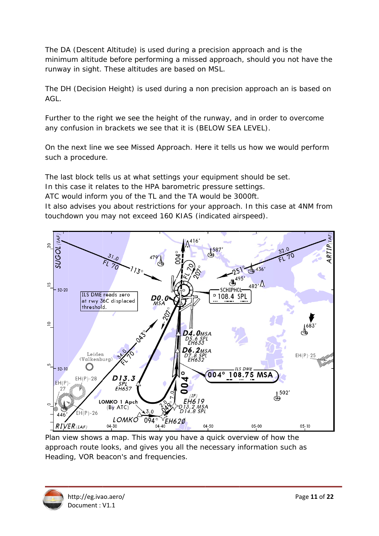The DA (Descent Altitude) is used during a precision approach and is the minimum altitude before performing a missed approach, should you not have the runway in sight. These altitudes are based on MSL.

The DH (Decision Height) is used during a non precision approach an is based on  $AGL$ 

Further to the right we see the height of the runway, and in order to overcome any confusion in brackets we see that it is (BELOW SEA LEVEL).

On the next line we see Missed Approach. Here it tells us how we would perform such a procedure.

The last block tells us at what settings your equipment should be set.

In this case it relates to the HPA barometric pressure settings.

ATC would inform you of the TL and the TA would be 3000ft.

It also advises you about restrictions for your approach. In this case at 4NM from touchdown you may not exceed 160 KIAS (indicated airspeed).



Plan view shows a map. This way you have a quick overview of how the approach route looks, and gives you all the necessary information such as Heading, VOR beacon's and frequencies.

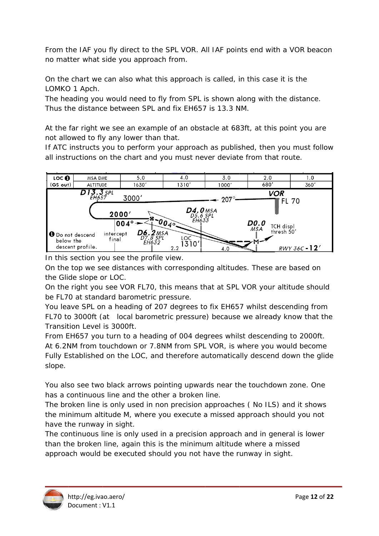From the IAF you fly direct to the SPL VOR. All IAF points end with a VOR beacon no matter what side you approach from.

On the chart we can also what this approach is called, in this case it is the LOMKO 1 Apch.

The heading you would need to fly from SPL is shown along with the distance. Thus the distance between SPL and fix FH657 is 13.3 NM.

At the far right we see an example of an obstacle at 683ft, at this point you are not allowed to fly any lower than that.

If ATC instructs you to perform your approach as published, then you must follow all instructions on the chart and you must never deviate from that route.



In this section you see the profile view.

On the top we see distances with corresponding altitudes. These are based on the Glide slope or LOC.

On the right you see VOR FL70, this means that at SPL VOR your altitude should be FL70 at standard barometric pressure.

You leave SPL on a heading of 207 degrees to fix EH657 whilst descending from FL70 to 3000ft (at local barometric pressure) because we already know that the Transition Level is 3000ft.

From EH657 you turn to a heading of 004 degrees whilst descending to 2000ft. At 6.2NM from touchdown or 7.8NM from SPL VOR, is where you would become Fully Established on the LOC, and therefore automatically descend down the glide slope.

You also see two black arrows pointing upwards near the touchdown zone. One has a continuous line and the other a broken line.

The broken line is only used in non precision approaches (No ILS) and it shows the minimum altitude M, where you execute a missed approach should you not have the runway in sight.

The continuous line is only used in a precision approach and in general is lower than the broken line, again this is the minimum altitude where a missed approach would be executed should you not have the runway in sight.

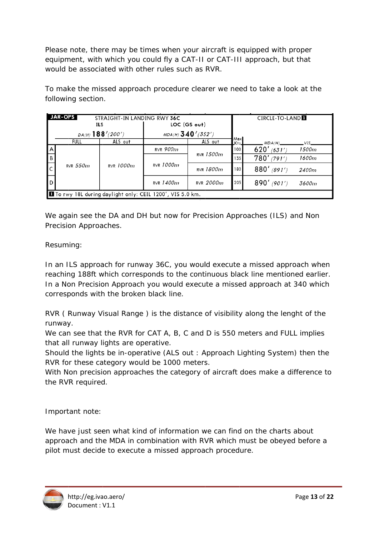Please note, there may be times when your aircraft is equipped with proper equipment, with which you could fly a CAT-II or CAT-III approach, but that would be associated with other rules such as RVR.

To make the missed approach procedure clearer we need to take a look at the following section.

|   | <b>JAR-OPS</b>                                             | STRAIGHT-IN LANDING RWY 36C |                     |           |              | CIRCLE-TO-LAND |       |  |  |  |
|---|------------------------------------------------------------|-----------------------------|---------------------|-----------|--------------|----------------|-------|--|--|--|
|   |                                                            | ILS                         | LOC (GS out)        |           |              |                |       |  |  |  |
|   |                                                            | $DA(H)$ 188'(200')          | $MDA(H)$ 340'(352') |           |              |                |       |  |  |  |
|   | <b>FULL</b>                                                | ALS out                     |                     | ALS out   | Max<br>_Kts_ | MDA(H)         | VIS.  |  |  |  |
| A |                                                            |                             | RVR $900m$          | RVR 1500m | 100          | $620'$ (631')  | 1500m |  |  |  |
| B |                                                            |                             |                     |           | 135          | 780'<br>(791') | 1600m |  |  |  |
|   | RVR $550m$                                                 | RVR 1000m                   | $RVR$ 1000 $m$      | RVR 1800m | 180          | $880'$ (891')  | 2400m |  |  |  |
| D |                                                            |                             | RVR $1400m$         | RVR 2000m | 205          | $890'$ (901')  | 3600m |  |  |  |
|   | I To rwy 18L during daylight only: CEIL 1200', VIS 5.0 km. |                             |                     |           |              |                |       |  |  |  |

We again see the DA and DH but now for Precision Approaches (ILS) and Non Precision Approaches.

Resuming:

In an ILS approach for runway 36C, you would execute a missed approach when reaching 188ft which corresponds to the continuous black line mentioned earlier. In a Non Precision Approach you would execute a missed approach at 340 which corresponds with the broken black line.

RVR (Runway Visual Range) is the distance of visibility along the lenght of the runway.

We can see that the RVR for CAT A, B, C and D is 550 meters and FULL implies that all runway lights are operative.

Should the lights be in-operative (ALS out: Approach Lighting System) then the RVR for these category would be 1000 meters.

With Non precision approaches the category of aircraft does make a difference to the RVR required.

Important note:

We have just seen what kind of information we can find on the charts about approach and the MDA in combination with RVR which must be obeyed before a pilot must decide to execute a missed approach procedure.

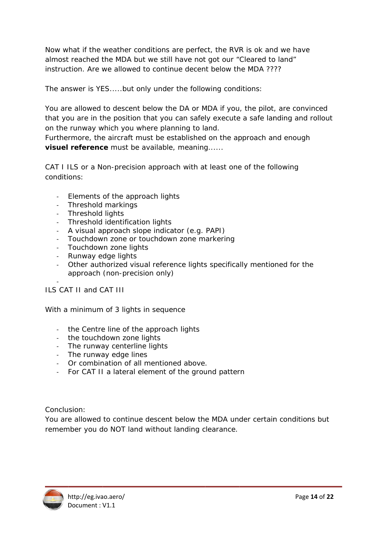Now what if the weather conditions are perfect, the RVR is ok and we have almost reached the MDA but we still have not got our "Cleared to land" instruction. Are we allowed to continue decent below the MDA ????

The answer is YES.....but only under the following conditions:

You are allowed to descent below the DA or MDA if you, the pilot, are convinced that you are in the position that you can safely execute a safe landing and rollout on the runway which you where planning to land.

Furthermore, the aircraft must be established on the approach and enough visuel reference must be available, meaning......

CAT I ILS or a Non-precision approach with at least one of the following conditions:

- Elements of the approach lights
- Threshold markings
- Threshold liahts
- Threshold identification lights
- A visual approach slope indicator (e.g. PAPI)
- Touchdown zone or touchdown zone markering
- Touchdown zone lights
- Runway edge lights
- Other authorized visual reference lights specifically mentioned for the approach (non-precision only)

ILS CAT II and CAT III

With a minimum of 3 lights in sequence

- the Centre line of the approach lights
- the touchdown zone lights
- The runway centerline lights
- The runway edge lines
- Or combination of all mentioned above.
- For CAT II a lateral element of the ground pattern

Conclusion:

You are allowed to continue descent below the MDA under certain conditions but remember you do NOT land without landing clearance.

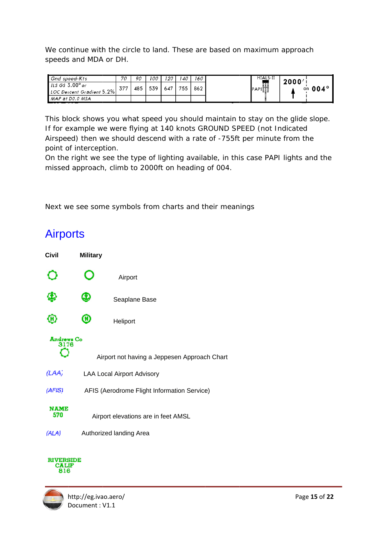We continue with the circle to land. These are based on maximum approach speeds and MDA or DH.

| Gnd speed-Kts             | 70  | 90  | 100 | 120 | 140 | 160 | HIALS-II     | 2000'          |
|---------------------------|-----|-----|-----|-----|-----|-----|--------------|----------------|
| ILS GS $3.00^\circ$ or    | 377 | 485 | 539 | 647 | 755 | 862 | 頭            | on $004^\circ$ |
| LOC Descent Gradient 5.2% |     |     |     |     |     |     | <b>PAPIE</b> |                |
| MAP at DO.O MSA           |     |     |     |     |     |     |              |                |

This block shows you what speed you should maintain to stay on the glide slope. If for example we were flying at 140 knots GROUND SPEED (not Indicated Airspeed) then we should descend with a rate of -755ft per minute from the point of interception.

On the right we see the type of lighting available, in this case PAPI lights and the missed approach, climb to 2000ft on heading of 004.

Next we see some symbols from charts and their meanings

# **Airports**



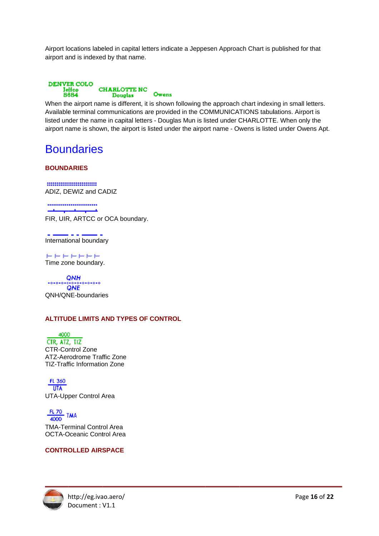Airport locations labeled in capital letters indicate a Jeppesen Approach Chart is published for that airport and is indexed by that name.



When the airport name is different, it is shown following the approach chart indexing in small letters. Available terminal communications are provided in the COMMUNICATIONS tabulations. Airport is listed under the name in capital letters - Douglas Mun is listed under CHARLOTTE. When only the airport name is shown, the airport is listed under the airport name - Owens is listed under Owens Apt.

# **Boundaries**

#### **BOUNDARIES**

.......................... ADIZ, DEWIZ and CADIZ

......................... ليستقصوا FIR, UIR, ARTCC or OCA boundary.

والمرامين International boundary

السواسي للبوار سنوا للبوار الشوار السوار Time zone boundary.

QNH QNH/QNE-boundaries

#### **ALTITUDE LIMITS AND TYPES OF CONTROL**

4000 CTR, ATZ, TIZ **CTR-Control Zone** ATZ-Aerodrome Traffic Zone **TIZ-Traffic Information Zone** 

FL 360  $UTA$ **UTA-Upper Control Area** 

 $\frac{FL 70}{4000}$  TMA

**TMA-Terminal Control Area OCTA-Oceanic Control Area** 

#### **CONTROLLED AIRSPACE**

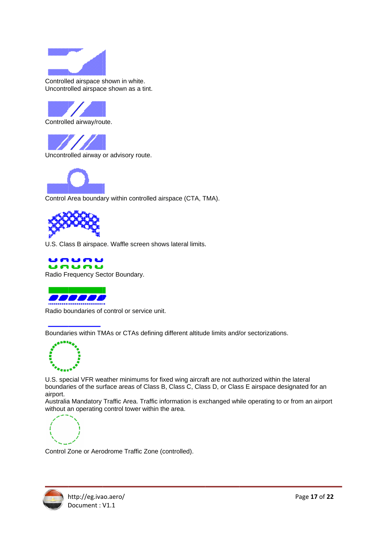

Controlled airspace shown in white. Uncontrolled airspace shown as a tint.



Uncontrolled airway or advisory route.



Control Area boundary within controlled airspace (CTA, TMA).



U.S. Class B airspace. Waffle screen shows lateral limits.





Radio boundaries of control or service unit.

Boundaries within TMAs or CTAs defining different altitude limits and/or sectorizations.



U.S. special VFR weather minimums for fixed wing aircraft are not authorized within the lateral boundaries of the surface areas of Class B, Class C, Class D, or Class E airspace designated for an airport.

Australia Mandatory Traffic Area. Traffic information is exchanged while operating to or from an airport without an operating control tower within the area.



Control Zone or Aerodrome Traffic Zone (controlled).

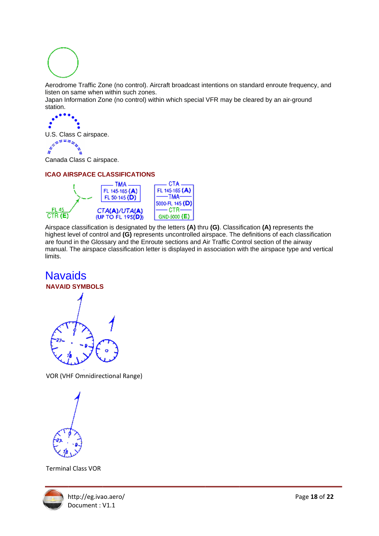

Aerodrome Traffic Zone (no control). Aircraft broadcast intentions on standard enroute frequency, and listen on same when within such zones.

Japan Information Zone (no control) within which special VFR may be cleared by an air-ground station.

U.S. Class C airspace.

Canada Class C airspace.

#### **ICAO AIRSPACE CLASSIFICATIONS**



Airspace classification is designated by the letters (A) thru (G). Classification (A) represents the highest level of control and (G) represents uncontrolled airspace. The definitions of each classification are found in the Glossary and the Enroute sections and Air Traffic Control section of the airway manual. The airspace classification letter is displayed in association with the airspace type and vertical limits.

## **Navaids NAVAID SYMBOLS**



**VOR (VHF Omnidirectional Range)** 

**Terminal Class VOR** 

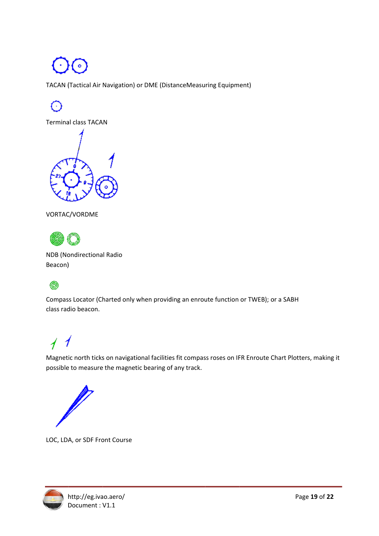TACAN (Tactical Air Navigation) or DME (DistanceMeasuring Equipment)

**Terminal class TACAN** 







**NDB** (Nondirectional Radio Beacon)

## ◉

Compass Locator (Charted only when providing an enroute function or TWEB); or a SABH class radio beacon.

# $\overline{1}$

Magnetic north ticks on navigational facilities fit compass roses on IFR Enroute Chart Plotters, making it possible to measure the magnetic bearing of any track.



LOC, LDA, or SDF Front Course

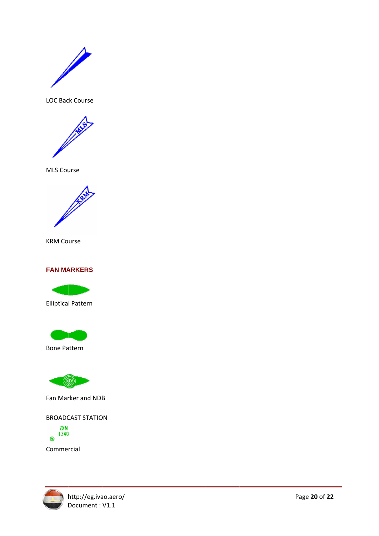

LOC Back Course



**MLS Course** 



**KRM Course** 

#### **FAN MARKERS**



**Elliptical Pattern** 



**Bone Pattern** 



Fan Marker and NDB

**BROADCAST STATION** 

ZXN  $\odot$   $1340$ 

Commercial

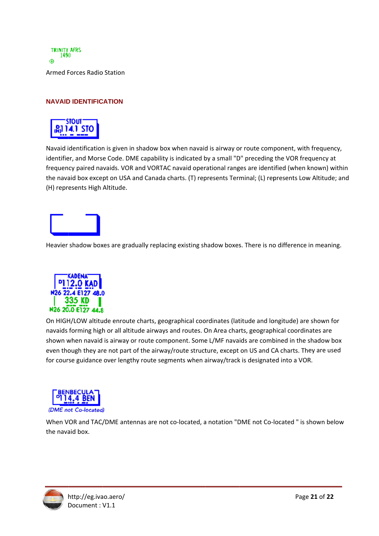

#### **NAVAID IDENTIFICATION**



Navaid identification is given in shadow box when navaid is airway or route component, with frequency, identifier, and Morse Code. DME capability is indicated by a small "D" preceding the VOR frequency at frequency paired navaids. VOR and VORTAC navaid operational ranges are identified (when known) within the navaid box except on USA and Canada charts. (T) represents Terminal; (L) represents Low Altitude; and (H) repr esents High Altitude.



Heavier shadow boxes are gradually replacing existing shadow boxes. There is no difference in meaning.



On HIGH/LOW altitude enroute charts, geographical coordinates (latitude and longitude) are shown for navaids forming high or all altitude airways and routes. On Area charts, geographical coordinates are shown when navaid is airway or route component. Some L/MF navaids are combined in the shadow box even though they are not part of the airway/route structure, except on US and CA charts. They are used for course guidance over lengthy route segments when airway/track is designated into a VOR.



When VOR and TAC/DME antennas are not co-located, a notation "DME not Co-located " is shown below the navaid box.